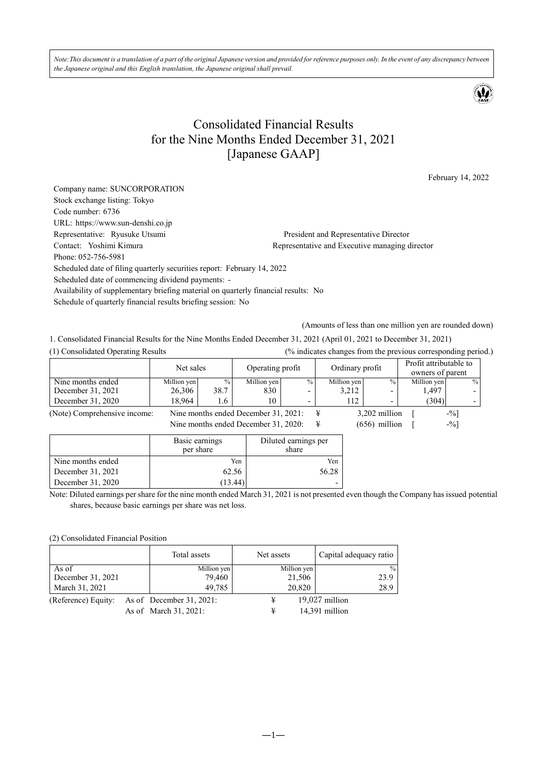*Note:This document is a translation of a part of the original Japanese version and provided for reference purposes only. In the event of any discrepancy between the Japanese original and this English translation, the Japanese original shall prevail.* 



## Consolidated Financial Results for the Nine Months Ended December 31, 2021 [Japanese GAAP]

February 14, 2022

| Company name: SUNCORPORATION                                                       |                                                |
|------------------------------------------------------------------------------------|------------------------------------------------|
| Stock exchange listing: Tokyo                                                      |                                                |
|                                                                                    |                                                |
| Code number: 6736                                                                  |                                                |
| URL: https://www.sun-denshi.co.jp                                                  |                                                |
| Representative: Ryusuke Utsumi                                                     | President and Representative Director          |
| Contact: Yoshimi Kimura                                                            | Representative and Executive managing director |
| Phone: 052-756-5981                                                                |                                                |
| Scheduled date of filing quarterly securities report: February 14, 2022            |                                                |
| Scheduled date of commencing dividend payments: -                                  |                                                |
| Availability of supplementary briefing material on quarterly financial results: No |                                                |
| Schedule of quarterly financial results briefing session: No                       |                                                |
|                                                                                    |                                                |

(Amounts of less than one million yen are rounded down)

1. Consolidated Financial Results for the Nine Months Ended December 31, 2021 (April 01, 2021 to December 31, 2021) (1) Consolidated Operating Results (% indicates changes from the previous corresponding period.)

|                              | Net sales   |               | Operating profit                     |      |   | Ordinary profit |                          | Profit attributable to<br>owners of parent |               |
|------------------------------|-------------|---------------|--------------------------------------|------|---|-----------------|--------------------------|--------------------------------------------|---------------|
| Nine months ended            | Million yen | $\frac{0}{0}$ | Million yen                          | $\%$ |   | Million yen     | $\frac{0}{0}$            | Million yen                                | $\frac{0}{0}$ |
| December 31, 2021            | 26,306      | 38.7          | 830                                  |      |   | 3,212           |                          | 1,497                                      |               |
| December 31, 2020            | 18.964      | 1.6           | 10                                   |      |   | 112             | $\overline{\phantom{0}}$ | (304)                                      |               |
| (Note) Comprehensive income: |             |               | Nine months ended December 31, 2021: |      | ¥ |                 | 3,202 million            |                                            | $-9/0$        |
|                              |             |               | Nine months ended December 31, 2020: |      | ¥ |                 | $(656)$ million          |                                            | $-$ %]        |

|                   | Basic earnings<br>per share | Diluted earnings per<br>share |
|-------------------|-----------------------------|-------------------------------|
| Nine months ended | Yen                         | Yen                           |
| December 31, 2021 | 62.56                       | 56.28                         |
| December 31, 2020 | 13.44                       |                               |

Note: Diluted earnings per share for the nine month ended March 31, 2021 is not presented even though the Company has issued potential shares, because basic earnings per share was net loss.

## (2) Consolidated Financial Position

|                     | Total assets                | Net assets  | Capital adequacy ratio |
|---------------------|-----------------------------|-------------|------------------------|
| As of               | Million yen                 | Million yen | $^{0/0}$               |
| December 31, 2021   | 79.460                      | 21,506      | 23.9                   |
| March 31, 2021      | 49,785                      | 20,820      | 28.9                   |
| (Reference) Equity: | As of December $31, 2021$ : | ¥           | $19,027$ million       |
|                     | As of March 31, 2021:       | ¥           | 14,391 million         |